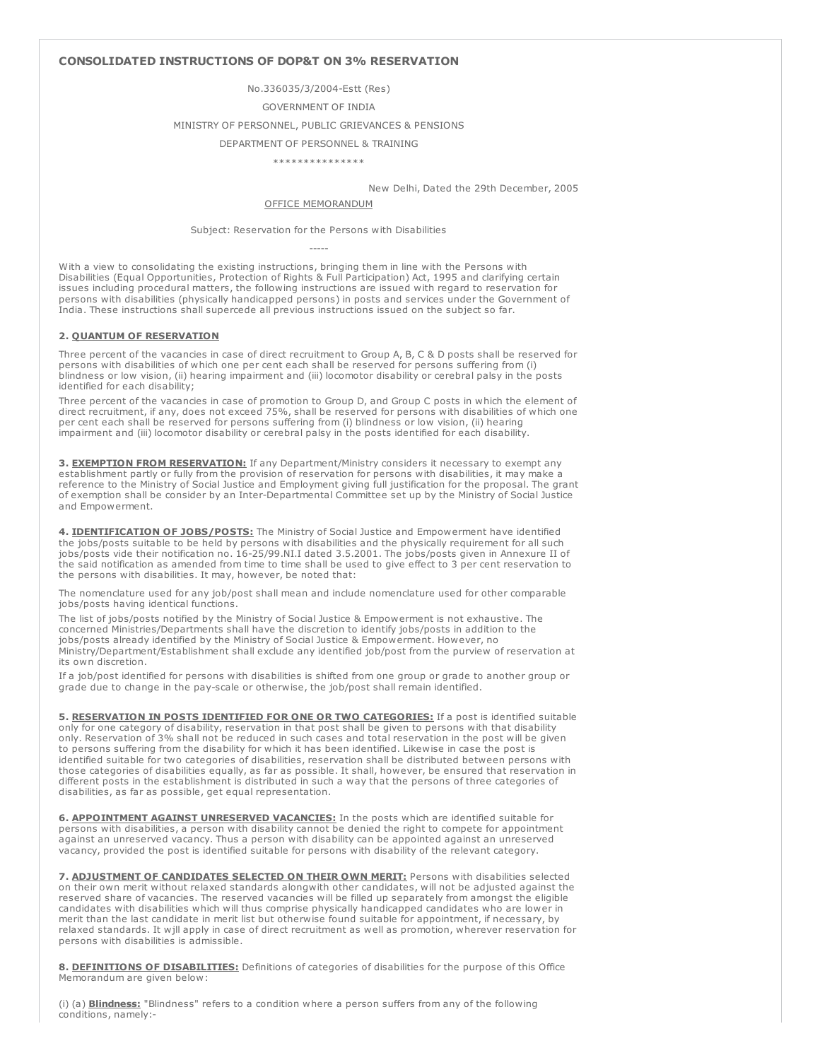# CONSOLIDATED INSTRUCTIONS OF DOP&T ON 3% RESERVATION

### No.336035/3/2004-Estt (Res)

#### GOVERNMENT OF INDIA

# MINISTRY OF PERSONNEL, PUBLIC GRIEVANCES & PENSIONS

#### DEPARTMENT OF PERSONNEL & TRAINING

#### \*\*\*\*\*\*\*\*\*\*\*\*\*\*\*

New Delhi, Dated the 29th December, 2005

# OFFICE MEMORANDUM

Subject: Reservation for the Persons with Disabilities -----

With a view to consolidating the existing instructions, bringing them in line with the Persons with Disabilities (Equal Opportunities, Protection of Rights & Full Participation) Act, 1995 and clarifying certain issues including procedural matters, the following instructions are issued with regard to reservation for persons with disabilities (physically handicapped persons) in posts and services under the Government of India. These instructions shall supercede all previous instructions issued on the subject so far.

# 2. QUANTUM OF RESERVATION

Three percent of the vacancies in case of direct recruitment to Group A, B, C & D posts shall be reserved for persons with disabilities of which one per cent each shall be reserved for persons suffering from (i) blindness or low vision, (ii) hearing impairment and (iii) locomotor disability or cerebral palsy in the posts identified for each disability;

Three percent of the vacancies in case of promotion to Group D, and Group C posts in which the element of direct recruitment, if any, does not exceed 75%, shall be reserved for persons with disabilities of which one per cent each shall be reserved for persons suffering from (i) blindness or low vision, (ii) hearing impairment and (iii) locomotor disability or cerebral palsy in the posts identified for each disability.

3. EXEMPTION FROM RESERVATION: If any Department/Ministry considers it necessary to exempt any establishment partly or fully from the provision of reservation for persons with disabilities, it may make a reference to the Ministry of Social Justice and Employment giving full justification for the proposal. The grant of exemption shall be consider by an Inter-Departmental Committee set up by the Ministry of Social Justice and Empowerment.

4. **IDENTIFICATION OF JOBS/POSTS:** The Ministry of Social Justice and Empowerment have identified the jobs/posts suitable to be held by persons with disabilities and the physically requirement for all such jobs/posts vide their notification no. 16-25/99.NI.I dated 3.5.2001. The jobs/posts given in Annexure II of the said notification as amended from time to time shall be used to give effect to 3 per cent reservation to the persons with disabilities. It may, however, be noted that:

The nomenclature used for any job/post shall mean and include nomenclature used for other comparable jobs/posts having identical functions.

The list of jobs/posts notified by the Ministry of Social Justice & Empowerment is not exhaustive. The concerned Ministries/Departments shall have the discretion to identify jobs/posts in addition to the jobs/posts already identified by the Ministry of Social Justice & Empowerment. However, no Ministry/Department/Establishment shall exclude any identified job/post from the purview of reservation at its own discretion.

If a job/post identified for persons with disabilities is shifted from one group or grade to another group or grade due to change in the pay-scale or otherwise, the job/post shall remain identified.

5. RESERVATION IN POSTS IDENTIFIED FOR ONE OR TWO CATEGORIES: If a post is identified suitable only for one category of disability, reservation in that post shall be given to persons with that disability only. Reservation of 3% shall not be reduced in such cases and total reservation in the post will be given to persons suffering from the disability for which it has been identified. Likewise in case the post is identified suitable for two categories of disabilities, reservation shall be distributed between persons with those categories of disabilities equally, as far as possible. It shall, however, be ensured that reservation in different posts in the establishment is distributed in such a way that the persons of three categories of disabilities, as far as possible, get equal representation.

6. APPOINTMENT AGAINST UNRESERVED VACANCIES: In the posts which are identified suitable for persons with disabilities, a person with disability cannot be denied the right to compete for appointment against an unreserved vacancy. Thus a person with disability can be appointed against an unreserved vacancy, provided the post is identified suitable for persons with disability of the relevant category.

7. ADJUSTMENT OF CANDIDATES SELECTED ON THEIR OWN MERIT: Persons with disabilities selected on their own merit without relaxed standards alongwith other candidates, will not be adjusted against the reserved share of vacancies. The reserved vacancies will be filled up separately from amongst the eligible candidates with disabilities which will thus comprise physically handicapped candidates who are lower in merit than the last candidate in merit list but otherwise found suitable for appointment, if necessary, by relaxed standards. It wjll apply in case of direct recruitment as well as promotion, wherever reservation for persons with disabilities is admissible.

8. DEFINITIONS OF DISABILITIES: Definitions of categories of disabilities for the purpose of this Office Memorandum are given below:

(i) (a) Blindness: "Blindness" refers to a condition where a person suffers from any of the following conditions, namely:-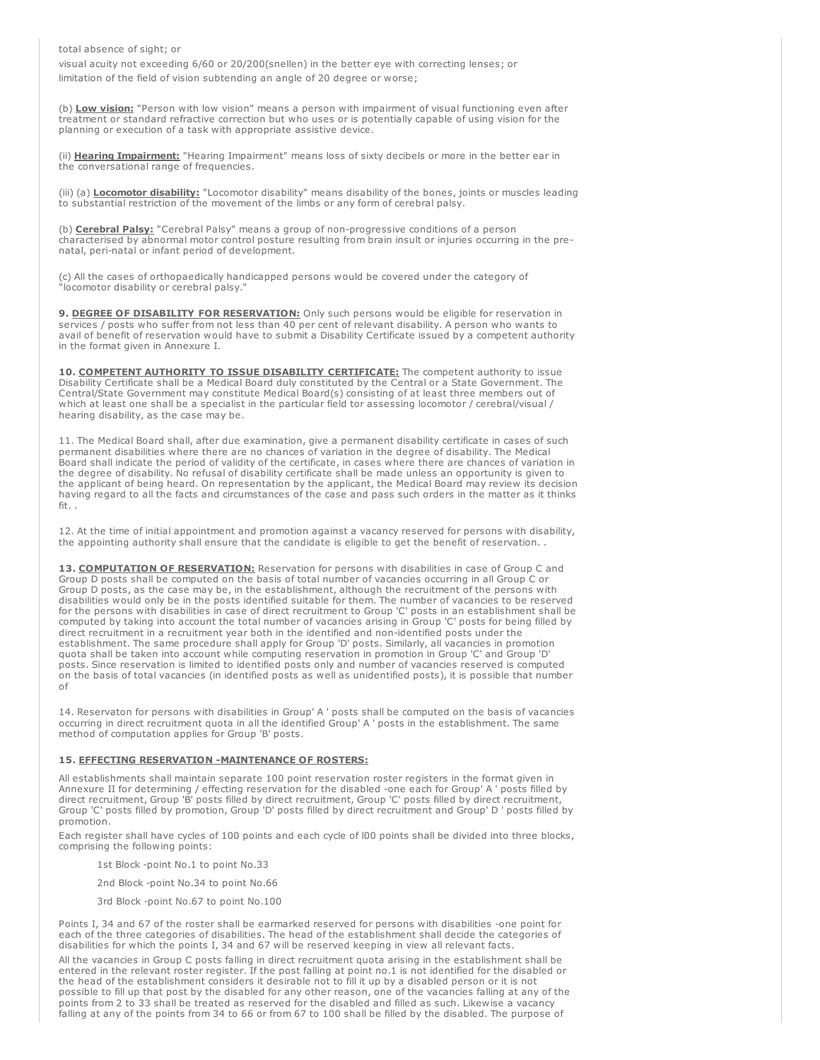total absence of sight; or

visual acuity not exceeding 6/60 or 20/200(snellen) in the better eye with correcting lenses; or limitation of the field of vision subtending an angle of 20 degree or worse;

(b) Low vision: "Person with low vision" means a person with impairment of visual functioning even after treatment or standard refractive correction but who uses or is potentially capable of using vision for the planning or execution of a task with appropriate assistive device.

(ii) Hearing Impairment: "Hearing Impairment" means loss of sixty decibels or more in the better ear in the conversational range of frequencies.

(iii) (a) Locomotor disability: "Locomotor disability" means disability of the bones, joints or muscles leading to substantial restriction of the movement of the limbs or any form of cerebral palsy.

(b) **Cerebral Palsy:** "Cerebral Palsy" means a group of non-progressive conditions of a person characterised by abnormal motor control posture resulting from brain insult or injuries occurring in the prenatal, peri-natal or infant period of development.

(c) All the cases of orthopaedically handicapped persons would be covered under the category of "locomotor disability or cerebral palsy."

9. DEGREE OF DISABILITY FOR RESERVATION: Only such persons would be eligible for reservation in services / posts who suffer from not less than 40 per cent of relevant disability. A person who wants to avail of benefit of reservation would have to submit a Disability Certificate issued by a competent authority in the format given in Annexure I.

10. COMPETENT AUTHORITY TO ISSUE DISABILITY CERTIFICATE: The competent authority to issue Disability Certificate shall be a Medical Board duly constituted by the Central or a State Government. The Central/State Government may constitute Medical Board(s) consisting of at least three members out of which at least one shall be a specialist in the particular field tor assessing locomotor / cerebral/visual / hearing disability, as the case may be.

11. The Medical Board shall, after due examination, give a permanent disability certificate in cases of such permanent disabilities where there are no chances of variation in the degree of disability. The Medical Board shall indicate the period of validity of the certificate, in cases where there are chances of variation in the degree of disability. No refusal of disability certificate shall be made unless an opportunity is given to the applicant of being heard. On representation by the applicant, the Medical Board may review its decision having regard to all the facts and circumstances of the case and pass such orders in the matter as it thinks fit. .

12. At the time of initial appointment and promotion against a vacancy reserved for persons with disability, the appointing authority shall ensure that the candidate is eligible to get the benefit of reservation. .

13. COMPUTATION OF RESERVATION: Reservation for persons with disabilities in case of Group C and Group D posts shall be computed on the basis of total number of vacancies occurring in all Group C or Group D posts, as the case may be, in the establishment, although the recruitment of the persons with disabilities would only be in the posts identified suitable for them. The number of vacancies to be reserved for the persons with disabilities in case of direct recruitment to Group 'C' posts in an establishment shall be computed by taking into account the total number of vacancies arising in Group 'C' posts for being filled by direct recruitment in a recruitment year both in the identified and non-identified posts under the establishment. The same procedure shall apply for Group 'D' posts. Similarly, all vacancies in promotion quota shall be taken into account while computing reservation in promotion in Group 'C' and Group 'D' posts. Since reservation is limited to identified posts only and number of vacancies reserved is computed on the basis of total vacancies (in identified posts as well as unidentified posts), it is possible that number of

14. Reservaton for persons with disabilities in Group' A ' posts shall be computed on the basis of vacancies occurring in direct recruitment quota in all the identified Group' A ' posts in the establishment. The same method of computation applies for Group 'B' posts.

### 15. EFFECTING RESERVATION -MAINTENANCE OF ROSTERS:

All establishments shall maintain separate 100 point reservation roster registers in the format given in Annexure II for determining / effecting reservation for the disabled -one each for Group' A ' posts filled by direct recruitment, Group 'B' posts filled by direct recruitment, Group 'C' posts filled by direct recruitment, Group 'C' posts filled by promotion, Group 'D' posts filled by direct recruitment and Group' D ' posts filled by promotion.

Each register shall have cycles of 100 points and each cycle of l00 points shall be divided into three blocks, comprising the following points:

1st Block -point No.1 to point No.33

2nd Block -point No.34 to point No.66

3rd Block -point No.67 to point No.100

Points I, 34 and 67 of the roster shall be earmarked reserved for persons with disabilities -one point for each of the three categories of disabilities. The head of the establishment shall decide the categories of disabilities for which the points I, 34 and 67 will be reserved keeping in view all relevant facts.

All the vacancies in Group C posts falling in direct recruitment quota arising in the establishment shall be entered in the relevant roster register. If the post falling at point no.1 is not identified for the disabled or the head of the establishment considers it desirable not to fill it up by a disabled person or it is not possible to fill up that post by the disabled for any other reason, one of the vacancies falling at any of the points from 2 to 33 shall be treated as reserved for the disabled and filled as such. Likewise a vacancy falling at any of the points from 34 to 66 or from 67 to 100 shall be filled by the disabled. The purpose of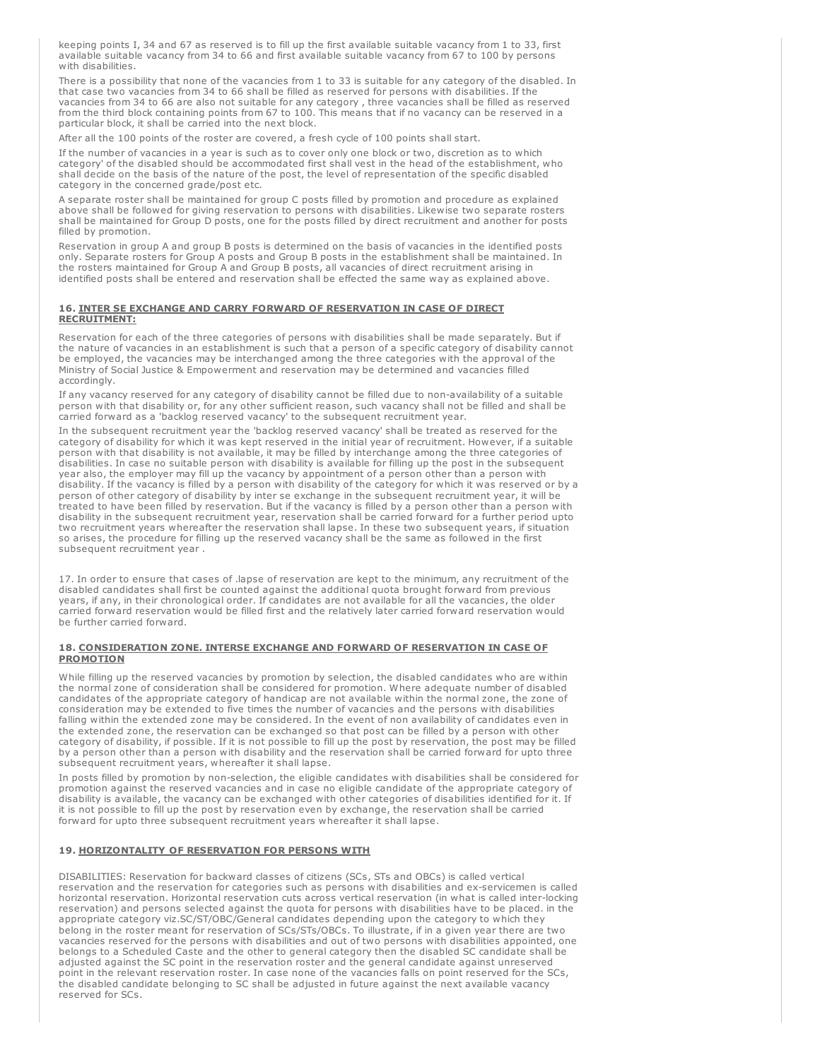keeping points I, 34 and 67 as reserved is to fill up the first available suitable vacancy from 1 to 33, first available suitable vacancy from 34 to 66 and first available suitable vacancy from 67 to 100 by persons with disabilities.

There is a possibility that none of the vacancies from 1 to 33 is suitable for any category of the disabled. In that case two vacancies from 34 to 66 shall be filled as reserved for persons with disabilities. If the vacancies from 34 to 66 are also not suitable for any category , three vacancies shall be filled as reserved from the third block containing points from 67 to 100. This means that if no vacancy can be reserved in a particular block, it shall be carried into the next block.

After all the 100 points of the roster are covered, a fresh cycle of 100 points shall start.

If the number of vacancies in a year is such as to cover only one block or two, discretion as to which category' of the disabled should be accommodated first shall vest in the head of the establishment, who shall decide on the basis of the nature of the post, the level of representation of the specific disabled category in the concerned grade/post etc.

A separate roster shall be maintained for group C posts filled by promotion and procedure as explained above shall be followed for giving reservation to persons with disabilities. Likewise two separate rosters shall be maintained for Group D posts, one for the posts filled by direct recruitment and another for posts filled by promotion.

Reservation in group A and group B posts is determined on the basis of vacancies in the identified posts only. Separate rosters for Group A posts and Group B posts in the establishment shall be maintained. In the rosters maintained for Group A and Group B posts, all vacancies of direct recruitment arising in identified posts shall be entered and reservation shall be effected the same way as explained above.

## 16. INTER SE EXCHANGE AND CARRY FORWARD OF RESERVATION IN CASE OF DIRECT RECRUITMENT:

Reservation for each of the three categories of persons with disabilities shall be made separately. But if the nature of vacancies in an establishment is such that a person of a specific category of disability cannot be employed, the vacancies may be interchanged among the three categories with the approval of the Ministry of Social Justice & Empowerment and reservation may be determined and vacancies filled accordingly.

If any vacancy reserved for any category of disability cannot be filled due to non-availability of a suitable person with that disability or, for any other sufficient reason, such vacancy shall not be filled and shall be carried forward as a 'backlog reserved vacancy' to the subsequent recruitment year.

In the subsequent recruitment year the 'backlog reserved vacancy' shall be treated as reserved for the category of disability for which it was kept reserved in the initial year of recruitment. However, if a suitable person with that disability is not available, it may be filled by interchange among the three categories of disabilities. In case no suitable person with disability is available for filling up the post in the subsequent year also, the employer may fill up the vacancy by appointment of a person other than a person with disability. If the vacancy is filled by a person with disability of the category for which it was reserved or by a person of other category of disability by inter se exchange in the subsequent recruitment year, it will be treated to have been filled by reservation. But if the vacancy is filled by a person other than a person with disability in the subsequent recruitment year, reservation shall be carried forward for a further period upto two recruitment years whereafter the reservation shall lapse. In these two subsequent years, if situation so arises, the procedure for filling up the reserved vacancy shall be the same as followed in the first subsequent recruitment year .

17. In order to ensure that cases of .lapse of reservation are kept to the minimum, any recruitment of the disabled candidates shall first be counted against the additional quota brought forward from previous years, if any, in their chronological order. If candidates are not available for all the vacancies, the older carried forward reservation would be filled first and the relatively later carried forward reservation would be further carried forward.

### 18. CONSIDERATION ZONE. INTERSE EXCHANGE AND FORWARD OF RESERVATION IN CASE OF **PROMOTION**

While filling up the reserved vacancies by promotion by selection, the disabled candidates who are within the normal zone of consideration shall be considered for promotion. Where adequate number of disabled candidates of the appropriate category of handicap are not available within the normal zone, the zone of consideration may be extended to five times the number of vacancies and the persons with disabilities falling within the extended zone may be considered. In the event of non availability of candidates even in the extended zone, the reservation can be exchanged so that post can be filled by a person with other category of disability, if possible. If it is not possible to fill up the post by reservation, the post may be filled by a person other than a person with disability and the reservation shall be carried forward for upto three subsequent recruitment years, whereafter it shall lapse.

In posts filled by promotion by non-selection, the eligible candidates with disabilities shall be considered for promotion against the reserved vacancies and in case no eligible candidate of the appropriate category of disability is available, the vacancy can be exchanged with other categories of disabilities identified for it. If it is not possible to fill up the post by reservation even by exchange, the reservation shall be carried forward for upto three subsequent recruitment years whereafter it shall lapse.

## 19. HORIZONTALITY OF RESERVATION FOR PERSONS WITH

DISABILITIES: Reservation for backward classes of citizens (SCs, STs and OBCs) is called vertical reservation and the reservation for categories such as persons with disabilities and ex-servicemen is called horizontal reservation. Horizontal reservation cuts across vertical reservation (in what is called inter-locking reservation) and persons selected against the quota for persons with disabilities have to be placed. in the appropriate category viz.SC/ST/OBC/General candidates depending upon the category to which they belong in the roster meant for reservation of SCs/STs/OBCs. To illustrate, if in a given year there are two vacancies reserved for the persons with disabilities and out of two persons with disabilities appointed, one belongs to a Scheduled Caste and the other to general category then the disabled SC candidate shall be adjusted against the SC point in the reservation roster and the general candidate against unreserved point in the relevant reservation roster. In case none of the vacancies falls on point reserved for the SCs, the disabled candidate belonging to SC shall be adjusted in future against the next available vacancy reserved for SCs.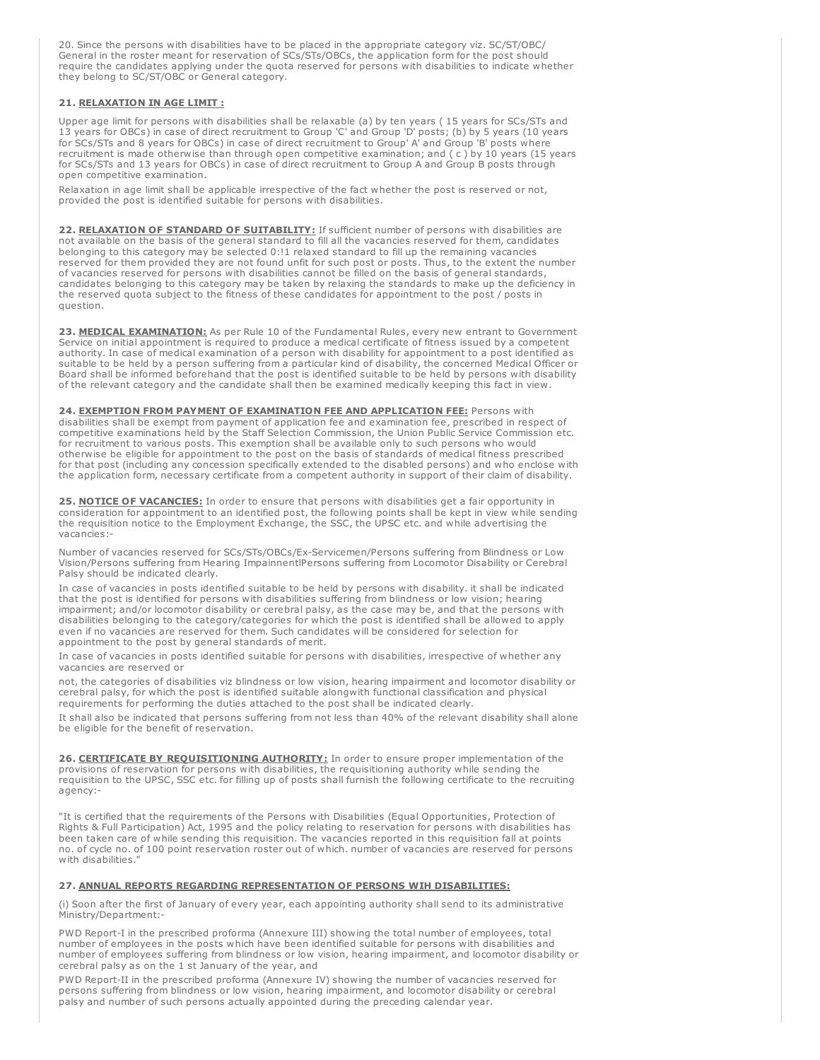20. Since the persons with disabilities have to be placed in the appropriate category viz. SC/ST/OBC/ General in the roster meant for reservation of SCs/STs/OBCs, the application form for the post should require the candidates applying under the quota reserved for persons with disabilities to indicate whether they belong to SC/ST/OBC or General category.

# 21. RELAXATION IN AGE LIMIT :

Upper age limit for persons with disabilities shall be relaxable (a) by ten years ( 15 years for SCs/STs and 13 years for OBCs) in case of direct recruitment to Group 'C' and Group 'D' posts; (b) by 5 years (10 years for SCs/STs and 8 years for OBCs) in case of direct recruitment to Group' A' and Group 'B' posts where recruitment is made otherwise than through open competitive examination; and ( c ) by 10 years (15 years for SCs/STs and 13 years for OBCs) in case of direct recruitment to Group A and Group B posts through open competitive examination.

Relaxation in age limit shall be applicable irrespective of the fact whether the post is reserved or not, provided the post is identified suitable for persons with disabilities.

22. RELAXATION OF STANDARD OF SUITABILITY: If sufficient number of persons with disabilities are not available on the basis of the general standard to fill all the vacancies reserved for them, candidates belonging to this category may be selected 0:!1 relaxed standard to fill up the remaining vacancies reserved for them provided they are not found unfit for such post or posts. Thus, to the extent the number of vacancies reserved for persons with disabilities cannot be filled on the basis of general standards, candidates belonging to this category may be taken by relaxing the standards to make up the deficiency in the reserved quota subject to the fitness of these candidates for appointment to the post / posts in question.

23. MEDICAL EXAMINATION: As per Rule 10 of the Fundamental Rules, every new entrant to Government Service on initial appointment is required to produce a medical certificate of fitness issued by a competent authority. In case of medical examination of a person with disability for appointment to a post identified as suitable to be held by a person suffering from a particular kind of disability, the concerned Medical Officer or Board shall be informed beforehand that the post is identified suitable to be held by persons with disability of the relevant category and the candidate shall then be examined medically keeping this fact in view.

24. EXEMPTION FROM PAYMENT OF EXAMINATION FEE AND APPLICATION FEE: Persons with disabilities shall be exempt from payment of application fee and examination fee, prescribed in respect of competitive examinations held by the Staff Selection Commission, the Union Public Service Commission etc. for recruitment to various posts. This exemption shall be available only to such persons who would otherwise be eligible for appointment to the post on the basis of standards of medical fitness prescribed for that post (including any concession specifically extended to the disabled persons) and who enclose with the application form, necessary certificate from a competent authority in support of their claim of disability.

25. NOTICE OF VACANCIES: In order to ensure that persons with disabilities get a fair opportunity in consideration for appointment to an identified post, the following points shall be kept in view while sending the requisition notice to the Employment Exchange, the SSC, the UPSC etc. and while advertising the vacancies:-

Number of vacancies reserved for SCs/STs/OBCs/Ex-Servicemen/Persons suffering from Blindness or Low Vision/Persons suffering from Hearing ImpainnentlPersons suffering from Locomotor Disability or Cerebral Palsy should be indicated clearly.

In case of vacancies in posts identified suitable to be held by persons with disability. it shall be indicated that the post is identified for persons with disabilities suffering from blindness or low vision; hearing impairment; and/or locomotor disability or cerebral palsy, as the case may be, and that the persons with disabilities belonging to the category/categories for which the post is identified shall be allowed to apply even if no vacancies are reserved for them. Such candidates will be considered for selection for appointment to the post by general standards of merit.

In case of vacancies in posts identified suitable for persons with disabilities, irrespective of whether any vacancies are reserved or

not, the categories of disabilities viz blindness or low vision, hearing impairment and locomotor disability or cerebral palsy, for which the post is identified suitable alongwith functional classification and physical requirements for performing the duties attached to the post shall be indicated clearly.

It shall also be indicated that persons suffering from not less than 40% of the relevant disability shall alone be eligible for the benefit of reservation.

26. CERTIFICATE BY REQUISITIONING AUTHORITY: In order to ensure proper implementation of the provisions of reservation for persons with disabilities, the requisitioning authority while sending the requisition to the UPSC, SSC etc. for filling up of posts shall furnish the following certificate to the recruiting agency:-

"It is certified that the requirements of the Persons with Disabilities (Equal Opportunities, Protection of Rights & Full Participation) Act, 1995 and the policy relating to reservation for persons with disabilities has been taken care of while sending this requisition. The vacancies reported in this requisition fall at points no. of cycle no. of 100 point reservation roster out of which. number of vacancies are reserved for persons with disabilities.'

## 27. ANNUAL REPORTS REGARDING REPRESENTATION OF PERSONS WIH DISABILITIES:

(i) Soon after the first of January of every year, each appointing authority shall send to its administrative Ministry/Department:-

PWD Report-I in the prescribed proforma (Annexure III) showing the total number of employees, total number of employees in the posts which have been identified suitable for persons with disabilities and number of employees suffering from blindness or low vision, hearing impairment, and locomotor disability or cerebral palsy as on the 1 st January of the year, and

PWD Report-II in the prescribed proforma (Annexure IV) showing the number of vacancies reserved for persons suffering from blindness or low vision, hearing impairment, and locomotor disability or cerebral palsy and number of such persons actually appointed during the preceding calendar year.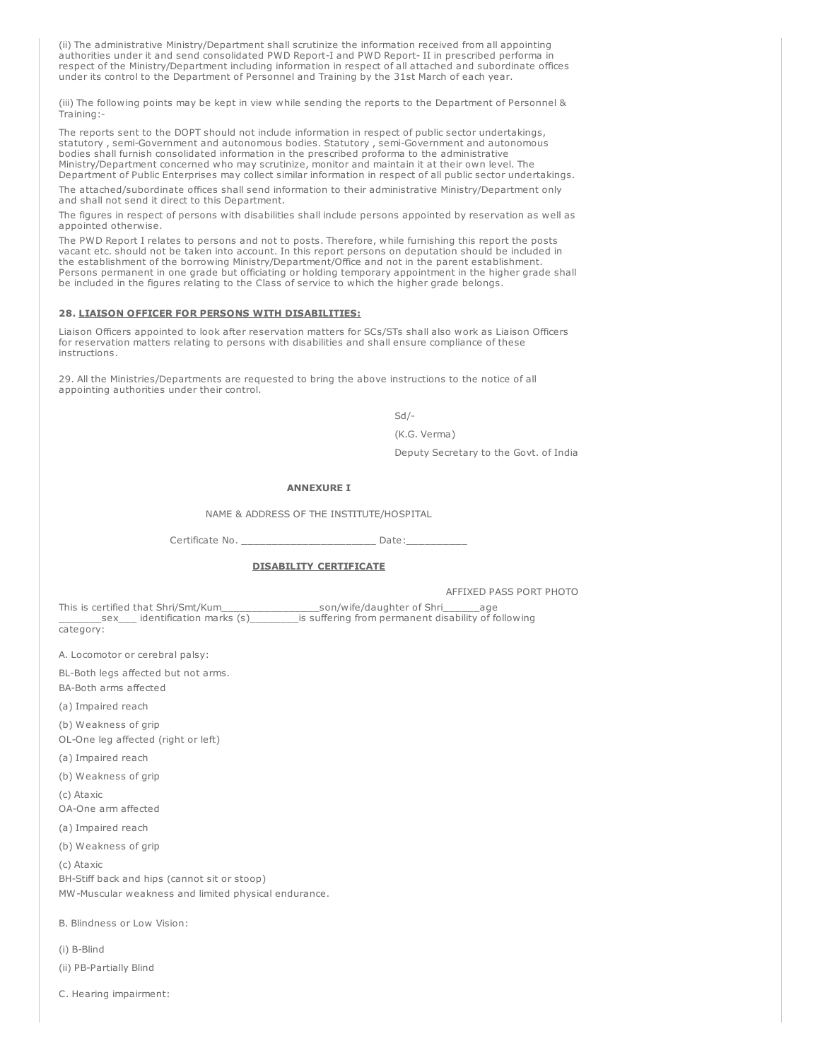(ii) The administrative Ministry/Department shall scrutinize the information received from all appointing authorities under it and send consolidated PWD Report-I and PWD Report- II in prescribed performa in respect of the Ministry/Department including information in respect of all attached and subordinate offices under its control to the Department of Personnel and Training by the 31st March of each year.

(iii) The following points may be kept in view while sending the reports to the Department of Personnel & Training:-

The reports sent to the DOPT should not include information in respect of public sector undertakings, statutory , semi-Government and autonomous bodies. Statutory , semi-Government and autonomous bodies shall furnish consolidated information in the prescribed proforma to the administrative Ministry/Department concerned who may scrutinize, monitor and maintain it at their own level. The Department of Public Enterprises may collect similar information in respect of all public sector undertakings. The attached/subordinate offices shall send information to their administrative Ministry/Department only

and shall not send it direct to this Department. The figures in respect of persons with disabilities shall include persons appointed by reservation as well as

The PWD Report I relates to persons and not to posts. Therefore, while furnishing this report the posts vacant etc. should not be taken into account. In this report persons on deputation should be included in the establishment of the borrowing Ministry/Department/Office and not in the parent establishment. Persons permanent in one grade but officiating or holding temporary appointment in the higher grade shall be included in the figures relating to the Class of service to which the higher grade belongs.

#### 28. LIAISON OFFICER FOR PERSONS WITH DISABILITIES:

Liaison Officers appointed to look after reservation matters for SCs/STs shall also work as Liaison Officers for reservation matters relating to persons with disabilities and shall ensure compliance of these instructions.

29. All the Ministries/Departments are requested to bring the above instructions to the notice of all appointing authorities under their control.

Sd/-

(K.G. Verma)

Deputy Secretary to the Govt. of India

## ANNEXURE I

NAME & ADDRESS OF THE INSTITUTE/HOSPITAL

Certificate No. \_\_\_\_\_\_\_\_\_\_\_\_\_\_\_\_\_\_\_\_\_\_\_\_\_\_\_ Date:\_\_\_

# DISABILITY CERTIFICATE

AFFIXED PASS PORT PHOTO

This is certified that Shri/Smt/Kum\_\_\_\_\_\_\_\_\_\_\_\_\_\_\_\_son/wife/daughter of Shri\_\_\_\_\_\_age \_\_\_\_\_\_\_sex\_\_\_ identification marks (s)\_\_\_\_\_\_\_\_is suffering from permanent disability of following category:

A. Locomotor or cerebral palsy:

BL-Both legs affected but not arms.

BA-Both arms affected

appointed otherwise.

(a) Impaired reach

(b) Weakness of grip OL-One leg affected (right or left)

(a) Impaired reach

(b) Weakness of grip

(c) Ataxic

- OA-One arm affected
- (a) Impaired reach

(b) Weakness of grip

(c) Ataxic BH-Stiff back and hips (cannot sit or stoop) MW-Muscular weakness and limited physical endurance.

B. Blindness or Low Vision:

- (i) B-Blind
- (ii) PB-Partially Blind
- C. Hearing impairment: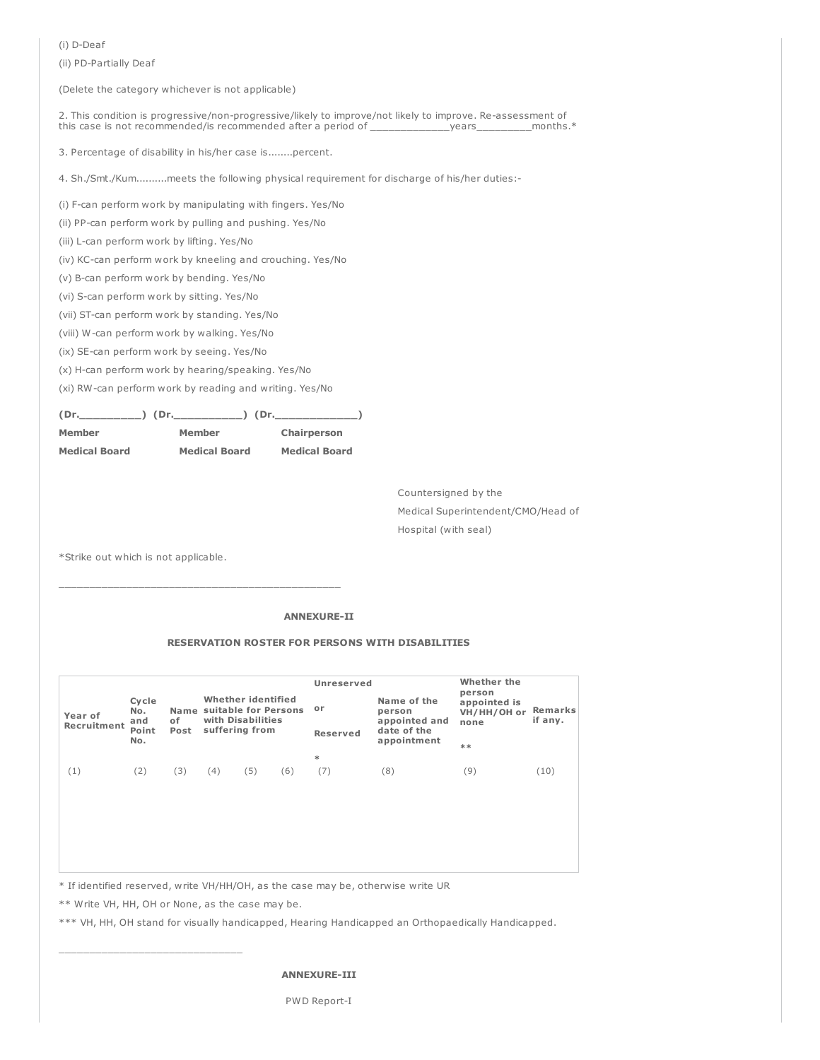(i) D-Deaf

(ii) PD-Partially Deaf

(Delete the category whichever is not applicable)

2. This condition is progressive/non-progressive/likely to improve/not likely to improve. Re-assessment of this case is not recommended/is recommended after a period of \_\_\_\_\_\_\_\_\_\_\_\_\_years\_\_\_\_\_\_\_\_\_months.\*

3. Percentage of disability in his/her case is........percent.

4. Sh./Smt./Kum..........meets the following physical requirement for discharge of his/her duties:-

(i) F-can perform work by manipulating with fingers. Yes/No

(ii) PP-can perform work by pulling and pushing. Yes/No

(iii) L-can perform work by lifting. Yes/No

(iv) KC-can perform work by kneeling and crouching. Yes/No

(v) B-can perform work by bending. Yes/No

(vi) S-can perform work by sitting. Yes/No

(vii) ST-can perform work by standing. Yes/No

(viii) W-can perform work by walking. Yes/No

(ix) SE-can perform work by seeing. Yes/No

(x) H-can perform work by hearing/speaking. Yes/No

(xi) RW-can perform work by reading and writing. Yes/No

 $(Dr.$   $(Dr.$   $(Dr.$   $(Dr.$   $(Dr.$   $(Dr.$   $(Dr.$   $(Dr.$   $(Dr.$   $(Dr.$   $(Dr.$   $(Dr.$   $(Dr.$   $(Dr.$   $(Dr.$   $(Dr.$   $(Dr.$   $(Dr.$   $Dr.$   $(Dr.$   $(Dr.$   $Dr.$   $(Dr.$   $(Dr.$   $Dr.$   $(Dr.$   $(Dr.$   $Dr.$   $(Dr.$   $(Dr.$   $Dr.$   $(Dr.$   $(Dr.$   $Dr.$   $(Dr.$   $Dr.$   $(Dr.$ 

| Member               | Member               | Chairperson          |  |  |  |  |
|----------------------|----------------------|----------------------|--|--|--|--|
| <b>Medical Board</b> | <b>Medical Board</b> | <b>Medical Board</b> |  |  |  |  |

\_\_\_\_\_\_\_\_\_\_\_\_\_\_\_\_\_\_\_\_\_\_\_\_\_\_\_\_\_\_\_\_\_\_\_\_\_\_\_\_\_\_\_\_\_\_

Countersigned by the Medical Superintendent/CMO/Head of Hospital (with seal)

\*Strike out which is not applicable.

# ANNEXURE-II

# RESERVATION ROSTER FOR PERSONS WITH DISABILITIES

|                        |                                     | Name<br>οf<br>Post | Whether identified<br>suitable for Persons<br>with Disabilities<br>suffering from |  |     | <b>Unreserved</b>     |                                                                      | Whether the<br>person               |                    |  |
|------------------------|-------------------------------------|--------------------|-----------------------------------------------------------------------------------|--|-----|-----------------------|----------------------------------------------------------------------|-------------------------------------|--------------------|--|
| Year of<br>Recruitment | Cycle<br>No.<br>and<br>Point<br>No. |                    |                                                                                   |  |     | or<br><b>Reserved</b> | Name of the<br>person<br>appointed and<br>date of the<br>appointment | appointed is<br>VH/HH/OH or<br>none | Remarks<br>if any. |  |
|                        |                                     |                    |                                                                                   |  |     | $**$                  |                                                                      |                                     |                    |  |
| $\left(1\right)$       | (2)                                 | (3)                | (5)<br>(4)                                                                        |  | (6) | $\ast$<br>(7)         | (8)                                                                  | (9)                                 | (10)               |  |
|                        |                                     |                    |                                                                                   |  |     |                       |                                                                      |                                     |                    |  |

\* If identified reserved, write VH/HH/OH, as the case may be, otherwise write UR

\*\* Write VH, HH, OH or None, as the case may be.

\*\*\* VH, HH, OH stand for visually handicapped, Hearing Handicapped an Orthopaedically Handicapped.

#### ANNEXURE-III

PWD Report-I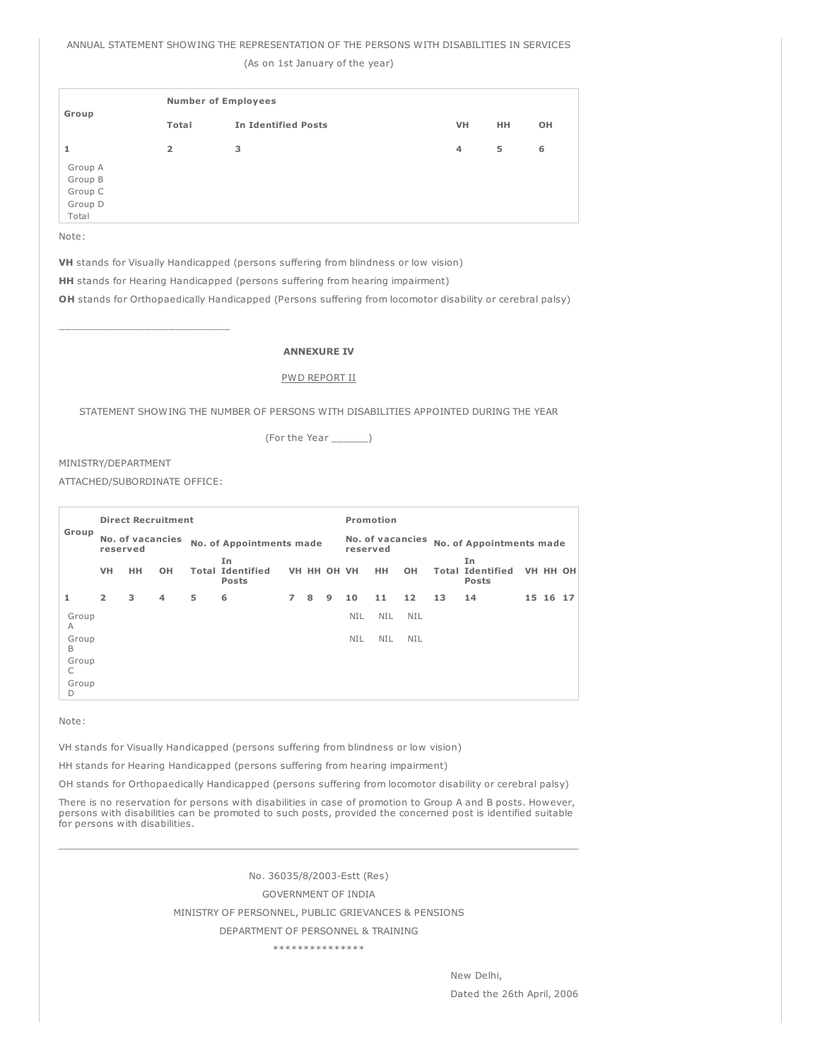ANNUAL STATEMENT SHOWING THE REPRESENTATION OF THE PERSONS WITH DISABILITIES IN SERVICES

(As on 1st January of the year)

| Group                                             | <b>Number of Employees</b> |                            |           |           |    |  |  |  |  |  |
|---------------------------------------------------|----------------------------|----------------------------|-----------|-----------|----|--|--|--|--|--|
|                                                   | Total                      | <b>In Identified Posts</b> | <b>VH</b> | <b>HH</b> | OH |  |  |  |  |  |
| 1                                                 | $\overline{2}$             | 3                          | 4         | 5         | 6  |  |  |  |  |  |
| Group A<br>Group B<br>Group C<br>Group D<br>Total |                            |                            |           |           |    |  |  |  |  |  |

Note:

VH stands for Visually Handicapped (persons suffering from blindness or low vision)

HH stands for Hearing Handicapped (persons suffering from hearing impairment)

OH stands for Orthopaedically Handicapped (Persons suffering from locomotor disability or cerebral palsy)

# ANNEXURE IV

#### PWD REPORT II

STATEMENT SHOWING THE NUMBER OF PERSONS WITH DISABILITIES APPOINTED DURING THE YEAR

(For the Year \_\_\_\_\_\_)

# MINISTRY/DEPARTMENT

ATTACHED/SUBORDINATE OFFICE:

|            | <b>Direct Recruitment</b> |                  |    |   |                                               |                |   |             | Promotion                    |            |            |                          |                                               |  |          |  |
|------------|---------------------------|------------------|----|---|-----------------------------------------------|----------------|---|-------------|------------------------------|------------|------------|--------------------------|-----------------------------------------------|--|----------|--|
| Group      | reserved                  | No. of vacancies |    |   | No. of Appointments made                      |                |   |             | No. of vacancies<br>reserved |            |            | No. of Appointments made |                                               |  |          |  |
|            | VH                        | HH.              | OH |   | In<br><b>Total Identified</b><br><b>Posts</b> |                |   | VH HH OH VH |                              | <b>HH</b>  | <b>OH</b>  |                          | In<br><b>Total Identified</b><br><b>Posts</b> |  | VH HH OH |  |
| 1          | $\overline{2}$            | 3                | 4  | 5 | 6                                             | 7 <sup>7</sup> | 8 | 9           | 10                           | 11         | 12         | 13                       | 14                                            |  | 15 16 17 |  |
| Group<br>A |                           |                  |    |   |                                               |                |   |             | <b>NIL</b>                   | <b>NIL</b> | <b>NIL</b> |                          |                                               |  |          |  |
| Group<br>B |                           |                  |    |   |                                               |                |   |             | <b>NIL</b>                   | <b>NIL</b> | NIL        |                          |                                               |  |          |  |
| Group<br>С |                           |                  |    |   |                                               |                |   |             |                              |            |            |                          |                                               |  |          |  |
| Group<br>D |                           |                  |    |   |                                               |                |   |             |                              |            |            |                          |                                               |  |          |  |

Note:

VH stands for Visually Handicapped (persons suffering from blindness or low vision)

HH stands for Hearing Handicapped (persons suffering from hearing impairment)

OH stands for Orthopaedically Handicapped (persons suffering from locomotor disability or cerebral palsy)

There is no reservation for persons with disabilities in case of promotion to Group A and B posts. However, persons with disabilities can be promoted to such posts, provided the concerned post is identified suitable for persons with disabilities.

No. 36035/8/2003-Estt (Res)

### GOVERNMENT OF INDIA

MINISTRY OF PERSONNEL, PUBLIC GRIEVANCES & PENSIONS

DEPARTMENT OF PERSONNEL & TRAINING

\*\*\*\*\*\*\*\*\*\*\*\*\*\*\*

New Delhi, Dated the 26th April, 2006